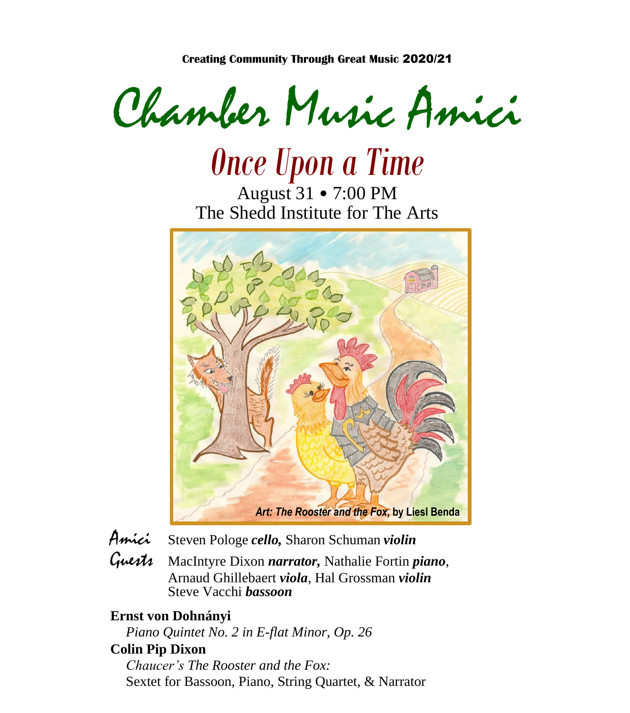**Creating Community Through Great Music** 2020/21

Chamber Music Amici

*Once Upon a Time* August 31 • 7:00 PM The Shedd Institute for The Arts



- Amici Steven Pologe *cello,* Sharon Schuman *violin*
- Guests MacIntyre Dixon *narrator,* Nathalie Fortin *piano*, Arnaud Ghillebaert *viola*, Hal Grossman *violin* Steve Vacchi *bassoon*

### **Ernst von Dohnányi**

*Piano Quintet No. 2 in E-flat Minor, Op. 26*

### **Colin Pip Dixon**

*Chaucer's The Rooster and the Fox:*  Sextet for Bassoon, Piano, String Quartet, & Narrator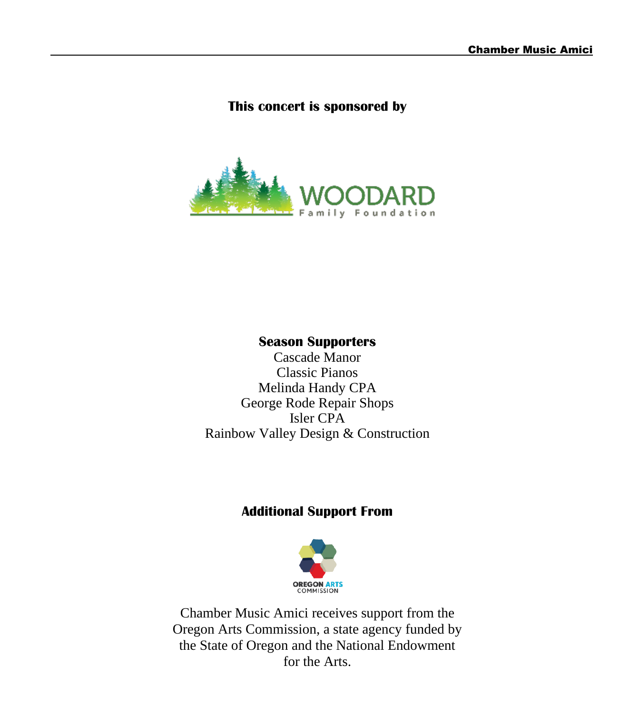### **This concert is sponsored by**



### **Season Supporters**

Cascade Manor Classic Pianos Melinda Handy CPA George Rode Repair Shops Isler CPA Rainbow Valley Design & Construction

### **Additional Support From**



Chamber Music Amici receives support from the Oregon Arts Commission, a state agency funded by the State of Oregon and the National Endowment for the Arts.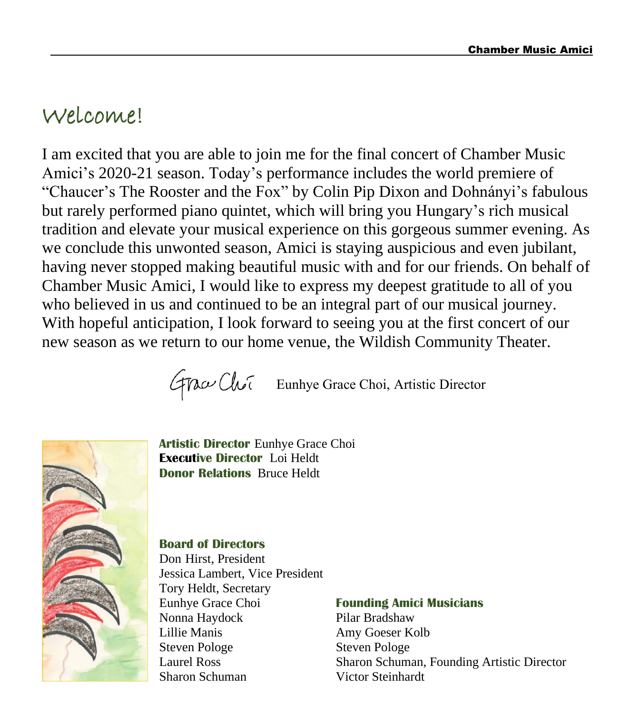# Welcome!

I am excited that you are able to join me for the final concert of Chamber Music Amici's 2020-21 season. Today's performance includes the world premiere of "Chaucer's The Rooster and the Fox" by Colin Pip Dixon and Dohnányi's fabulous but rarely performed piano quintet, which will bring you Hungary's rich musical tradition and elevate your musical experience on this gorgeous summer evening. As we conclude this unwonted season, Amici is staying auspicious and even jubilant, having never stopped making beautiful music with and for our friends. On behalf of Chamber Music Amici, I would like to express my deepest gratitude to all of you who believed in us and continued to be an integral part of our musical journey. With hopeful anticipation, I look forward to seeing you at the first concert of our new season as we return to our home venue, the Wildish Community Theater.

Eunhye Grace Choi, Artistic Director



**Artistic Director** Eunhye Grace Choi **Executive Director** Loi Heldt **Donor Relations** Bruce Heldt

#### **Board of Directors**

Don Hirst, President Jessica Lambert, Vice President Tory Heldt, Secretary Eunhye Grace Choi **Founding Amici Musicians** Nonna Haydock Pilar Bradshaw Lillie Manis Amy Goeser Kolb Steven Pologe Steven Pologe Sharon Schuman Victor Steinhardt

Laurel Ross Sharon Schuman, Founding Artistic Director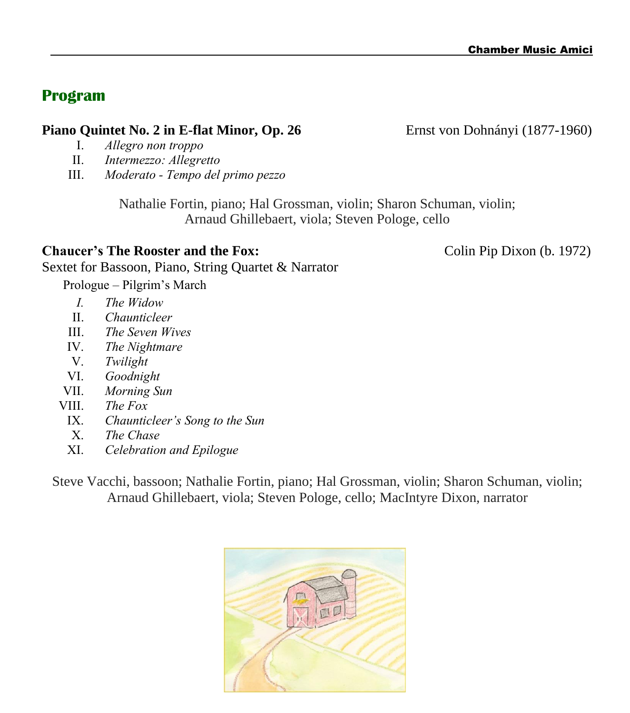## **Program**

### **Piano Quintet No. 2 in E-flat Minor, Op. 26 Ernst von Dohnányi** (1877-1960)

- I. *Allegro non troppo*
- II. *Intermezzo: Allegretto*
- III. *Moderato - Tempo del primo pezzo*

Nathalie Fortin, piano; Hal Grossman, violin; Sharon Schuman, violin; Arnaud Ghillebaert, viola; Steven Pologe, cello

### **Chaucer's The Rooster and the Fox:** Colin Pip Dixon (b. 1972)

Sextet for Bassoon, Piano, String Quartet & Narrator

Prologue – Pilgrim's March

- *I. The Widow*
- II. *Chaunticleer*
- III. *The Seven Wives*
- IV. *The Nightmare*
- V. *Twilight*
- VI. *Goodnight*
- VII. *Morning Sun*
- VIII. *The Fox*
	- IX. *Chaunticleer's Song to the Sun*
	- X. *The Chase*
	- XI. *Celebration and Epilogue*

Steve Vacchi, bassoon; Nathalie Fortin, piano; Hal Grossman, violin; Sharon Schuman, violin; Arnaud Ghillebaert, viola; Steven Pologe, cello; MacIntyre Dixon, narrator

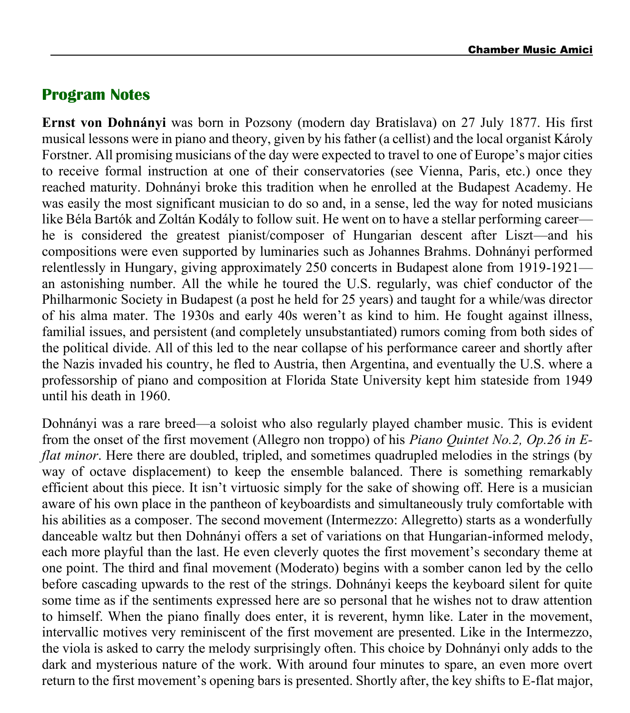### **Program Notes**

**Ernst von Dohnányi** was born in Pozsony (modern day Bratislava) on 27 July 1877. His first musical lessons were in piano and theory, given by his father (a cellist) and the local organist Károly Forstner. All promising musicians of the day were expected to travel to one of Europe's major cities to receive formal instruction at one of their conservatories (see Vienna, Paris, etc.) once they reached maturity. Dohnányi broke this tradition when he enrolled at the Budapest Academy. He was easily the most significant musician to do so and, in a sense, led the way for noted musicians like Béla Bartók and Zoltán Kodály to follow suit. He went on to have a stellar performing career he is considered the greatest pianist/composer of Hungarian descent after Liszt—and his compositions were even supported by luminaries such as Johannes Brahms. Dohnányi performed relentlessly in Hungary, giving approximately 250 concerts in Budapest alone from 1919-1921 an astonishing number. All the while he toured the U.S. regularly, was chief conductor of the Philharmonic Society in Budapest (a post he held for 25 years) and taught for a while/was director of his alma mater. The 1930s and early 40s weren't as kind to him. He fought against illness, familial issues, and persistent (and completely unsubstantiated) rumors coming from both sides of the political divide. All of this led to the near collapse of his performance career and shortly after the Nazis invaded his country, he fled to Austria, then Argentina, and eventually the U.S. where a professorship of piano and composition at Florida State University kept him stateside from 1949 until his death in 1960.

Dohnányi was a rare breed—a soloist who also regularly played chamber music. This is evident from the onset of the first movement (Allegro non troppo) of his *Piano Quintet No.2, Op.26 in Eflat minor*. Here there are doubled, tripled, and sometimes quadrupled melodies in the strings (by way of octave displacement) to keep the ensemble balanced. There is something remarkably efficient about this piece. It isn't virtuosic simply for the sake of showing off. Here is a musician aware of his own place in the pantheon of keyboardists and simultaneously truly comfortable with his abilities as a composer. The second movement (Intermezzo: Allegretto) starts as a wonderfully danceable waltz but then Dohnányi offers a set of variations on that Hungarian-informed melody, each more playful than the last. He even cleverly quotes the first movement's secondary theme at one point. The third and final movement (Moderato) begins with a somber canon led by the cello before cascading upwards to the rest of the strings. Dohnányi keeps the keyboard silent for quite some time as if the sentiments expressed here are so personal that he wishes not to draw attention to himself. When the piano finally does enter, it is reverent, hymn like. Later in the movement, intervallic motives very reminiscent of the first movement are presented. Like in the Intermezzo, the viola is asked to carry the melody surprisingly often. This choice by Dohnányi only adds to the dark and mysterious nature of the work. With around four minutes to spare, an even more overt return to the first movement's opening bars is presented. Shortly after, the key shifts to E-flat major,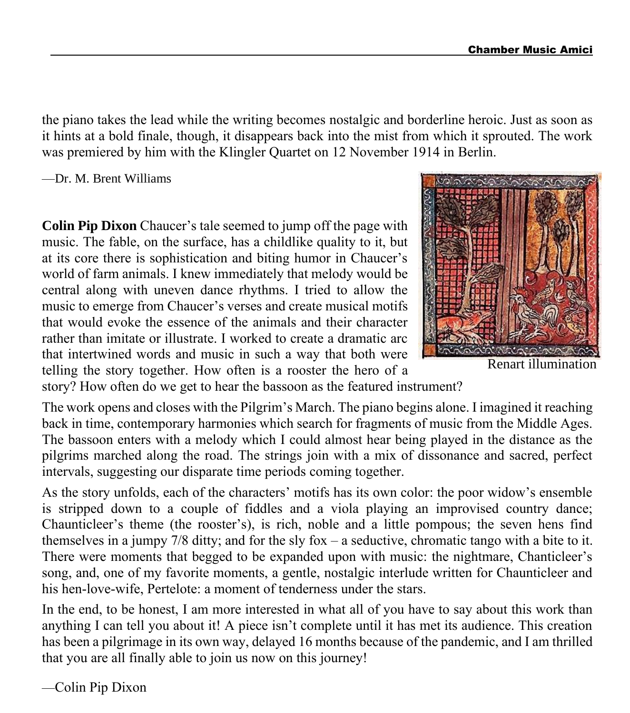the piano takes the lead while the writing becomes nostalgic and borderline heroic. Just as soon as it hints at a bold finale, though, it disappears back into the mist from which it sprouted. The work was premiered by him with the Klingler Quartet on 12 November 1914 in Berlin.

—Dr. M. Brent Williams

**Colin Pip Dixon** Chaucer's tale seemed to jump off the page with music. The fable, on the surface, has a childlike quality to it, but at its core there is sophistication and biting humor in Chaucer's world of farm animals. I knew immediately that melody would be central along with uneven dance rhythms. I tried to allow the music to emerge from Chaucer's verses and create musical motifs that would evoke the essence of the animals and their character rather than imitate or illustrate. I worked to create a dramatic arc that intertwined words and music in such a way that both were telling the story together. How often is a rooster the hero of a



Renart illumination

story? How often do we get to hear the bassoon as the featured instrument?

The work opens and closes with the Pilgrim's March. The piano begins alone. I imagined it reaching back in time, contemporary harmonies which search for fragments of music from the Middle Ages. The bassoon enters with a melody which I could almost hear being played in the distance as the pilgrims marched along the road. The strings join with a mix of dissonance and sacred, perfect intervals, suggesting our disparate time periods coming together.

As the story unfolds, each of the characters' motifs has its own color: the poor widow's ensemble is stripped down to a couple of fiddles and a viola playing an improvised country dance; Chaunticleer's theme (the rooster's), is rich, noble and a little pompous; the seven hens find themselves in a jumpy 7/8 ditty; and for the sly fox – a seductive, chromatic tango with a bite to it. There were moments that begged to be expanded upon with music: the nightmare, Chanticleer's song, and, one of my favorite moments, a gentle, nostalgic interlude written for Chaunticleer and his hen-love-wife, Pertelote: a moment of tenderness under the stars.

In the end, to be honest, I am more interested in what all of you have to say about this work than anything I can tell you about it! A piece isn't complete until it has met its audience. This creation has been a pilgrimage in its own way, delayed 16 months because of the pandemic, and I am thrilled that you are all finally able to join us now on this journey!

—Colin Pip Dixon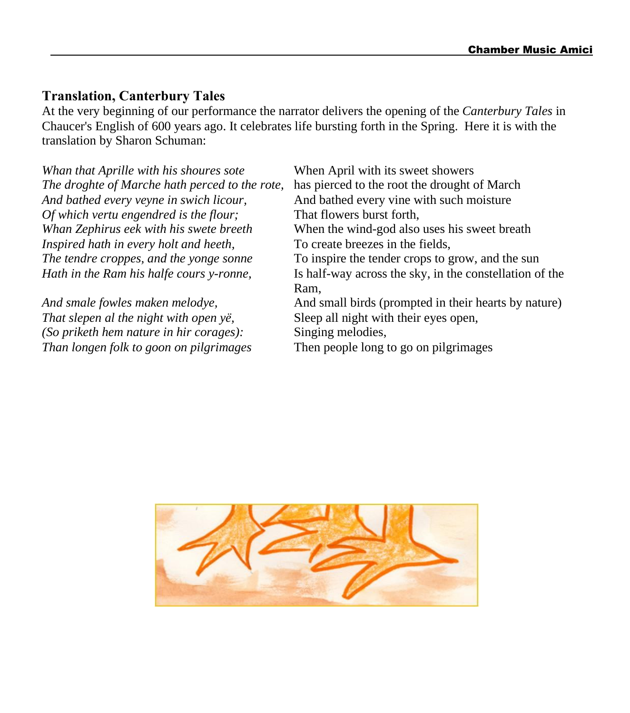### **Translation, Canterbury Tales**

At the very beginning of our performance the narrator delivers the opening of the *Canterbury Tales* in Chaucer's English of 600 years ago. It celebrates life bursting forth in the Spring. Here it is with the translation by Sharon Schuman:

*Whan that Aprille with his shoures sote* When April with its sweet showers *The droghte of Marche hath perced to the rote,* has pierced to the root the drought of March *And bathed every veyne in swich licour,* And bathed every vine with such moisture *Of* which vertu engendred is the flour;<br>Whan Zephirus eek with his swete breeth When the wind-god also *Inspired hath in every holt and heeth,* To create breezes in the fields,

*That slepen al the night with open yë,* Sleep all night with their eyes open, *(So priketh hem nature in hir corages):* Singing melodies, *Than longen folk to goon on pilgrimages* Then people long to go on pilgrimages

*When* the wind-god also uses his sweet breath *The tendre croppes, and the yonge sonne* To inspire the tender crops to grow, and the sun *Hath in the Ram his halfe cours y-ronne,* Is half-way across the sky, in the constellation of the Ram, *And smale fowles maken melodye,* And small birds (prompted in their hearts by nature)

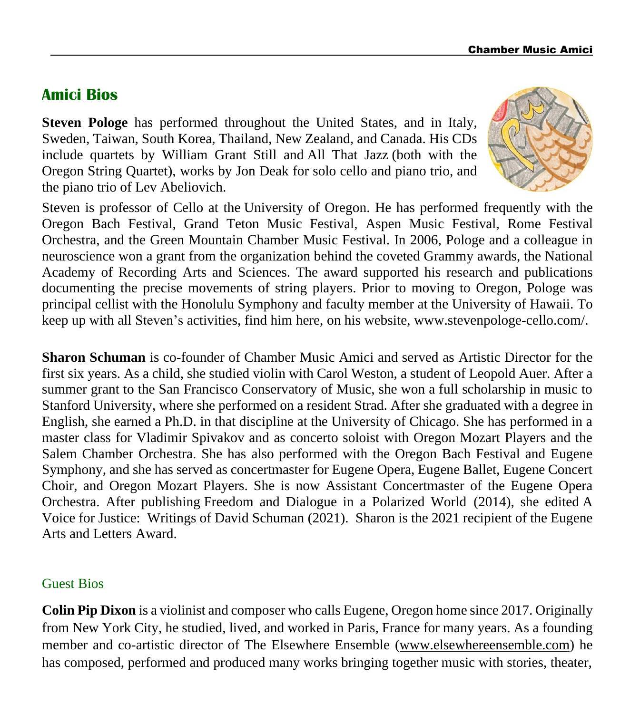### **Amici Bios**

**Steven Pologe** has performed throughout the United States, and in Italy, Sweden, Taiwan, South Korea, Thailand, New Zealand, and Canada. His CDs include quartets by William Grant Still and All That Jazz (both with the Oregon String Quartet), works by Jon Deak for solo cello and piano trio, and the piano trio of Lev Abeliovich.



Steven is professor of Cello at the [University of Oregon.](https://music.uoregon.edu/people/faculty/spologe) He has performed frequently with the Oregon Bach Festival, Grand Teton Music Festival, Aspen Music Festival, Rome Festival Orchestra, and the Green Mountain Chamber Music Festival. In 2006, Pologe and a colleague in neuroscience won a grant from the organization behind the coveted Grammy awards, the National Academy of Recording Arts and Sciences. The award supported his research and publications documenting the precise movements of string players. Prior to moving to Oregon, Pologe was principal cellist with the Honolulu Symphony and faculty member at the University of Hawaii. To keep up with all Steven's activities, find him here, [on his website,](https://www.stevenpologe-cello.com/) www.stevenpologe-cello.com/.

**Sharon Schuman** is co-founder of Chamber Music Amici and served as Artistic Director for the first six years. As a child, she studied violin with Carol Weston, a student of Leopold Auer. After a summer grant to the San Francisco Conservatory of Music, she won a full scholarship in music to Stanford University, where she performed on a resident Strad. After she graduated with a degree in English, she earned a Ph.D. in that discipline at the University of Chicago. She has performed in a master class for Vladimir Spivakov and as concerto soloist with Oregon Mozart Players and the Salem Chamber Orchestra. She has also performed with the Oregon Bach Festival and Eugene Symphony, and she has served as concertmaster for Eugene Opera, Eugene Ballet, Eugene Concert Choir, and Oregon Mozart Players. She is now Assistant Concertmaster of the Eugene Opera Orchestra. After publishing Freedom and Dialogue in a Polarized World (2014), she edited A Voice for Justice: Writings of David Schuman (2021). Sharon is the 2021 recipient of the Eugene Arts and Letters Award.

### Guest Bios

**Colin Pip Dixon** is a violinist and composer who calls Eugene, Oregon home since 2017. Originally from New York City, he studied, lived, and worked in Paris, France for many years. As a founding member and co-artistic director of The Elsewhere Ensemble [\(www.elsewhereensemble.com\)](http://www.elsewhereensemble.com/) he has composed, performed and produced many works bringing together music with stories, theater,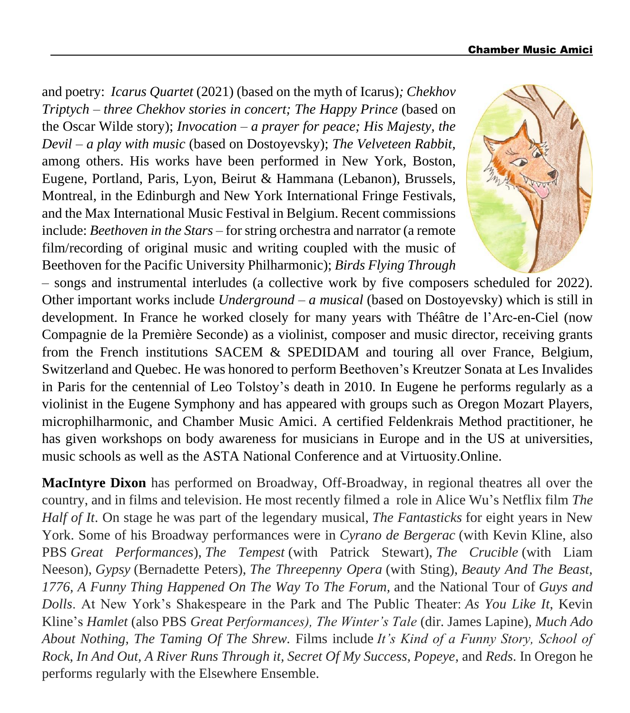and poetry: *Icarus Quartet* (2021) (based on the myth of Icarus)*; Chekhov Triptych – three Chekhov stories in concert; The Happy Prince* (based on the Oscar Wilde story); *Invocation – a prayer for peace; His Majesty, the Devil – a play with music* (based on Dostoyevsky); *The Velveteen Rabbit,* among others. His works have been performed in New York, Boston, Eugene, Portland, Paris, Lyon, Beirut & Hammana (Lebanon), Brussels, Montreal, in the Edinburgh and New York International Fringe Festivals, and the Max International Music Festival in Belgium. Recent commissions include: *Beethoven in the Stars* – for string orchestra and narrator (a remote film/recording of original music and writing coupled with the music of Beethoven for the Pacific University Philharmonic); *Birds Flying Through*



– songs and instrumental interludes (a collective work by five composers scheduled for 2022). Other important works include *Underground – a musical* (based on Dostoyevsky) which is still in development. In France he worked closely for many years with Théâtre de l'Arc-en-Ciel (now Compagnie de la Première Seconde) as a violinist, composer and music director, receiving grants from the French institutions SACEM & SPEDIDAM and touring all over France, Belgium, Switzerland and Quebec. He was honored to perform Beethoven's Kreutzer Sonata at Les Invalides in Paris for the centennial of Leo Tolstoy's death in 2010. In Eugene he performs regularly as a violinist in the Eugene Symphony and has appeared with groups such as Oregon Mozart Players, microphilharmonic, and Chamber Music Amici. A certified Feldenkrais Method practitioner, he has given workshops on body awareness for musicians in Europe and in the US at universities, music schools as well as the ASTA National Conference and at Virtuosity.Online.

**MacIntyre Dixon** has performed on Broadway, Off-Broadway, in regional theatres all over the country, and in films and television. He most recently filmed a role in Alice Wu's Netflix film *The Half of It*. On stage he was part of the legendary musical, *The Fantasticks* for eight years in New York. Some of his Broadway performances were in *Cyrano de Bergerac* (with Kevin Kline, also PBS *Great Performances*), *The Tempest* (with Patrick Stewart), *The Crucible* (with Liam Neeson), *Gypsy* (Bernadette Peters), *The Threepenny Opera* (with Sting), *Beauty And The Beast, 1776, A Funny Thing Happened On The Way To The Forum,* and the National Tour of *Guys and Dolls*. At New York's Shakespeare in the Park and The Public Theater: *As You Like It*, Kevin Kline's *Hamlet* (also PBS *Great Performances), The Winter's Tale* (dir. James Lapine)*, Much Ado About Nothing, The Taming Of The Shrew.* Films include *It's Kind of a Funny Story, School of Rock, In And Out, A River Runs Through it, Secret Of My Success, Popeye*, and *Reds*. In Oregon he performs regularly with the Elsewhere Ensemble.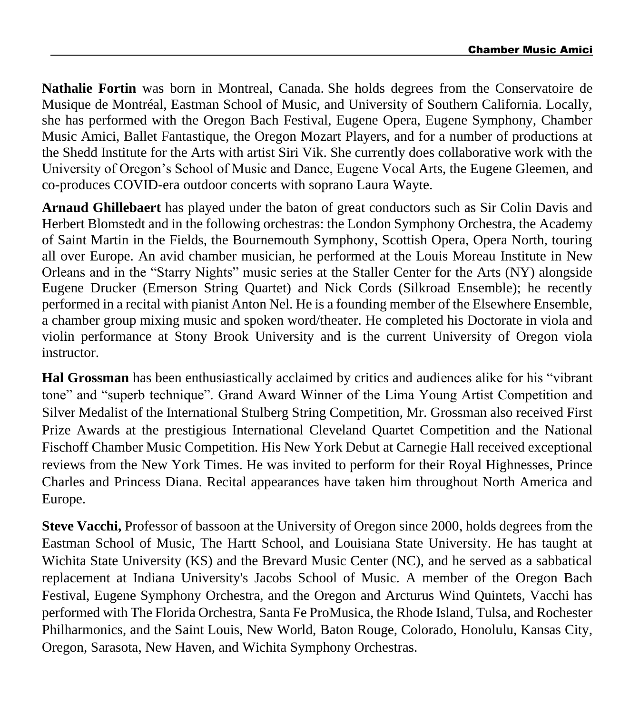**Nathalie Fortin** was born in Montreal, Canada. She holds degrees from the Conservatoire de Musique de Montréal, Eastman School of Music, and University of Southern California. Locally, she has performed with the Oregon Bach Festival, Eugene Opera, Eugene Symphony, Chamber Music Amici, Ballet Fantastique, the Oregon Mozart Players, and for a number of productions at the Shedd Institute for the Arts with artist Siri Vik. She currently does collaborative work with the University of Oregon's School of Music and Dance, Eugene Vocal Arts, the Eugene Gleemen, and co-produces COVID-era outdoor concerts with soprano Laura Wayte.

**Arnaud Ghillebaert** has played under the baton of great conductors such as Sir Colin Davis and Herbert Blomstedt and in the following orchestras: the London Symphony Orchestra, the Academy of Saint Martin in the Fields, the Bournemouth Symphony, Scottish Opera, Opera North, touring all over Europe. An avid chamber musician, he performed at the Louis Moreau Institute in New Orleans and in the "Starry Nights" music series at the Staller Center for the Arts (NY) alongside Eugene Drucker (Emerson String Quartet) and Nick Cords (Silkroad Ensemble); he recently performed in a recital with pianist Anton Nel. He is a founding member of the Elsewhere Ensemble, a chamber group mixing music and spoken word/theater. He completed his Doctorate in viola and violin performance at Stony Brook University and is the current University of Oregon viola instructor.

**Hal Grossman** has been enthusiastically acclaimed by critics and audiences alike for his "vibrant tone" and "superb technique". Grand Award Winner of the Lima Young Artist Competition and Silver Medalist of the International Stulberg String Competition, Mr. Grossman also received First Prize Awards at the prestigious International Cleveland Quartet Competition and the National Fischoff Chamber Music Competition. His New York Debut at Carnegie Hall received exceptional reviews from the New York Times. He was invited to perform for their Royal Highnesses, Prince Charles and Princess Diana. Recital appearances have taken him throughout North America and Europe.

**Steve Vacchi,** Professor of bassoon at the University of Oregon since 2000, holds degrees from the Eastman School of Music, The Hartt School, and Louisiana State University. He has taught at Wichita State University (KS) and the Brevard Music Center (NC), and he served as a sabbatical replacement at Indiana University's Jacobs School of Music. A member of the Oregon Bach Festival, Eugene Symphony Orchestra, and the Oregon and Arcturus Wind Quintets, Vacchi has performed with The Florida Orchestra, Santa Fe ProMusica, the Rhode Island, Tulsa, and Rochester Philharmonics, and the Saint Louis, New World, Baton Rouge, Colorado, Honolulu, Kansas City, Oregon, Sarasota, New Haven, and Wichita Symphony Orchestras.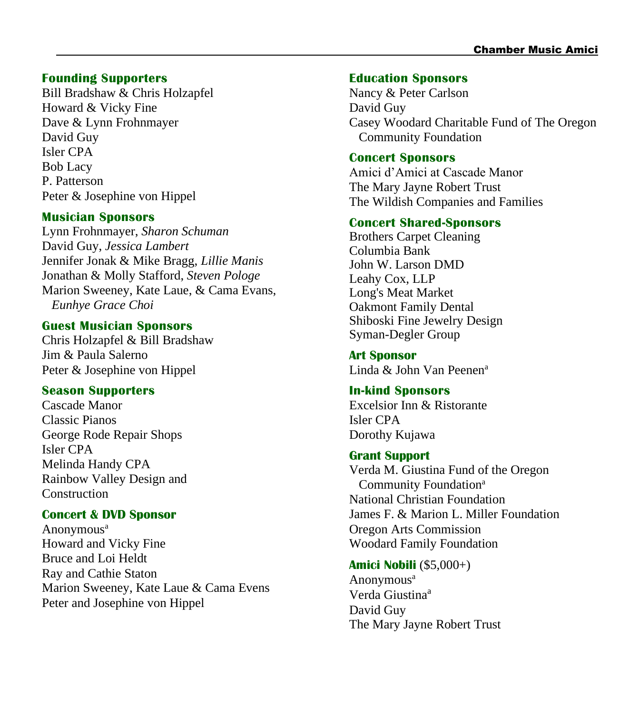#### **Founding Supporters**

Bill Bradshaw & Chris Holzapfel Howard & Vicky Fine Dave & Lynn Frohnmayer David Guy Isler CPA Bob Lacy P. Patterson Peter & Josephine von Hippel

#### **Musician Sponsors**

Lynn Frohnmayer, *Sharon Schuman* David Guy, *Jessica Lambert* Jennifer Jonak & Mike Bragg, *Lillie Manis* Jonathan & Molly Stafford, *Steven Pologe* Marion Sweeney, Kate Laue, & Cama Evans, *Eunhye Grace Choi*

#### **Guest Musician Sponsors**

Chris Holzapfel & Bill Bradshaw Jim & Paula Salerno Peter & Josephine von Hippel

#### **Season Supporters**

Cascade Manor Classic Pianos George Rode Repair Shops Isler CPA Melinda Handy CPA Rainbow Valley Design and **Construction** 

#### **Concert & DVD Sponsor**

Anonymous<sup>a</sup> Howard and Vicky Fine Bruce and Loi Heldt Ray and Cathie Staton Marion Sweeney, Kate Laue & Cama Evens Peter and Josephine von Hippel

#### **Education Sponsors**

Nancy & Peter Carlson David Guy Casey Woodard Charitable Fund of The Oregon Community Foundation

#### **Concert Sponsors**

Amici d'Amici at Cascade Manor The Mary Jayne Robert Trust The Wildish Companies and Families

#### **Concert Shared-Sponsors**

Brothers Carpet Cleaning Columbia Bank John W. Larson DMD Leahy Cox, LLP Long's Meat Market Oakmont Family Dental Shiboski Fine Jewelry Design Syman-Degler Group

**Art Sponsor** Linda & John Van Peenen<sup>a</sup>

#### **In-kind Sponsors**

Excelsior Inn & Ristorante Isler CPA Dorothy Kujawa

#### **Grant Support**

Verda M. Giustina Fund of the Oregon Community Foundation<sup>a</sup> National Christian Foundation James F. & Marion L. Miller Foundation Oregon Arts Commission Woodard Family Foundation

#### **Amici Nobili** (\$5,000+)

Anonymous<sup>a</sup> Verda Giustina<sup>a</sup> David Guy The Mary Jayne Robert Trust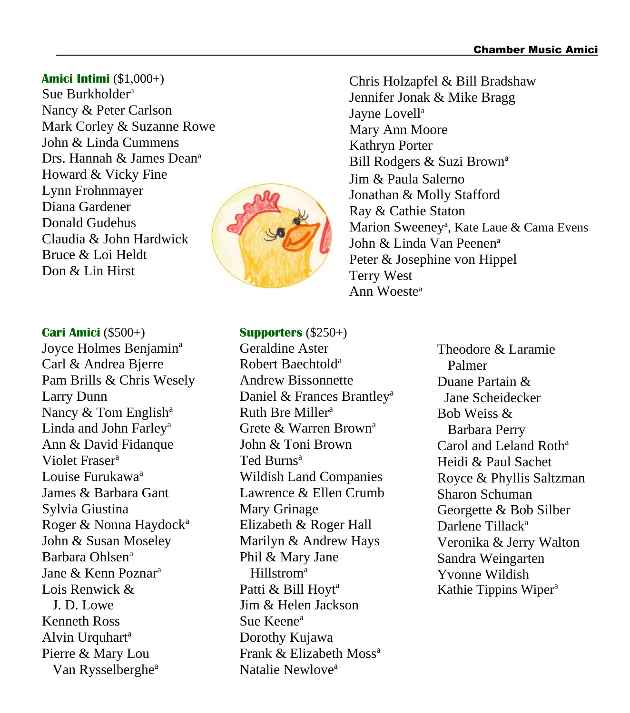**Amici Intimi** (\$1,000+) Sue Burkholder<sup>a</sup> Nancy & Peter Carlson Mark Corley & Suzanne Rowe John & Linda Cummens Drs. Hannah & James Dean<sup>a</sup> Howard & Vicky Fine Lynn Frohnmayer Diana Gardener Donald Gudehus Claudia & John Hardwick Bruce & Loi Heldt Don & Lin Hirst



**Cari Amici** (\$500+) Joyce Holmes Benjamin<sup>a</sup> Carl & Andrea Bjerre Pam Brills & Chris Wesely Larry Dunn Nancy  $&$  Tom English<sup>a</sup> Linda and John Farley<sup>a</sup> Ann & David Fidanque Violet Fraser<sup>a</sup> Louise Furukawa<sup>a</sup> James & Barbara Gant Sylvia Giustina Roger & Nonna Haydock<sup>a</sup> John & Susan Moseley Barbara Ohlsen<sup>a</sup> Jane & Kenn Poznar<sup>a</sup> Lois Renwick & J. D. Lowe Kenneth Ross Alvin Urquhart<sup>a</sup> Pierre & Mary Lou Van Rysselberghe<sup>a</sup>

### **Supporters** (\$250+) Geraldine Aster Robert Baechtold<sup>a</sup> Andrew Bissonnette Daniel & Frances Brantley<sup>a</sup> Ruth Bre Miller<sup>a</sup> Grete & Warren Brown<sup>a</sup> John & Toni Brown Ted Burns<sup>a</sup> Wildish Land Companies Lawrence & Ellen Crumb Mary Grinage Elizabeth & Roger Hall Marilyn & Andrew Hays Phil & Mary Jane Hillstrom<sup>a</sup> Patti & Bill Hoyt<sup>a</sup> Jim & Helen Jackson Sue Keene<sup>a</sup> Dorothy Kujawa Frank & Elizabeth Moss<sup>a</sup> Natalie Newlove<sup>a</sup>

Chris Holzapfel & Bill Bradshaw Jennifer Jonak & Mike Bragg Jayne Lovell<sup>a</sup> Mary Ann Moore Kathryn Porter Bill Rodgers & Suzi Brown<sup>a</sup> Jim & Paula Salerno Jonathan & Molly Stafford Ray & Cathie Staton Marion Sweeney<sup>a</sup>, Kate Laue & Cama Evens John & Linda Van Peenen<sup>a</sup> Peter & Josephine von Hippel Terry West Ann Woeste<sup>a</sup>

> Theodore & Laramie Palmer Duane Partain & Jane Scheidecker Bob Weiss & Barbara Perry Carol and Leland Roth<sup>a</sup> Heidi & Paul Sachet Royce & Phyllis Saltzman Sharon Schuman Georgette & Bob Silber Darlene Tillack<sup>a</sup> Veronika & Jerry Walton Sandra Weingarten Yvonne Wildish Kathie Tippins Wiper<sup>a</sup>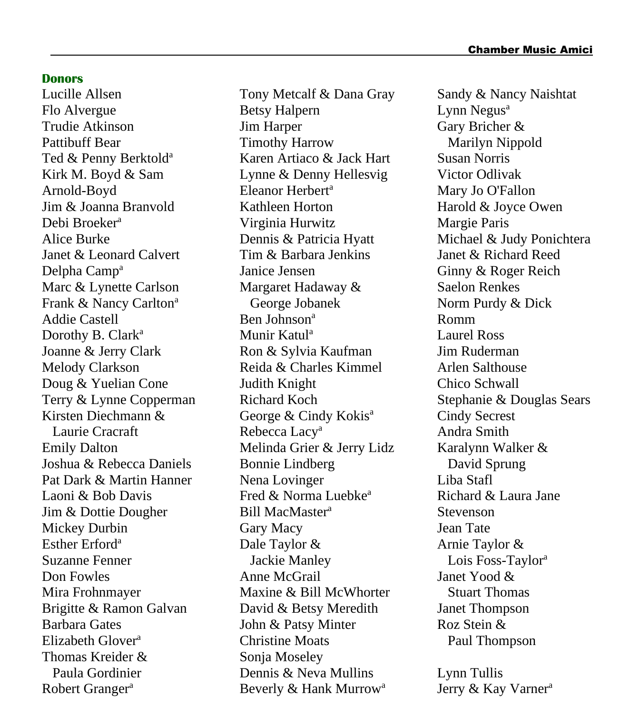#### **Donors**

Lucille Allsen Flo Alvergue Trudie Atkinson Pattibuff Bear Ted & Penny Berktold<sup>a</sup> Kirk M. Boyd & Sam Arnold-Boyd Jim & Joanna Branvold Debi Broeker<sup>a</sup> Alice Burke Janet & Leonard Calvert Delpha Camp<sup>a</sup> Marc & Lynette Carlson Frank & Nancy Carlton<sup>a</sup> Addie Castell Dorothy B. Clark<sup>a</sup> Joanne & Jerry Clark Melody Clarkson Doug & Yuelian Cone Terry & Lynne Copperman Kirsten Diechmann & Laurie Cracraft Emily Dalton Joshua & Rebecca Daniels Pat Dark & Martin Hanner Laoni & Bob Davis Jim & Dottie Dougher Mickey Durbin Esther Erford<sup>a</sup> Suzanne Fenner Don Fowles Mira Frohnmayer Brigitte & Ramon Galvan Barbara Gates Elizabeth Glover<sup>a</sup> Thomas Kreider & Paula Gordinier Robert Granger<sup>a</sup>

Tony Metcalf & Dana Gray Betsy Halpern Jim Harper Timothy Harrow Karen Artiaco & Jack Hart Lynne & Denny Hellesvig Eleanor Herbert<sup>a</sup> Kathleen Horton Virginia Hurwitz Dennis & Patricia Hyatt Tim & Barbara Jenkins Janice Jensen Margaret Hadaway & George Jobanek Ben Johnson<sup>a</sup> Munir Katul<sup>a</sup> Ron & Sylvia Kaufman Reida & Charles Kimmel Judith Knight Richard Koch George & Cindy Kokis<sup>a</sup> Rebecca Lacy<sup>a</sup> Melinda Grier & Jerry Lidz Bonnie Lindberg Nena Lovinger Fred  $&$  Norma Luebke<sup>a</sup> Bill MacMaster<sup>a</sup> Gary Macy Dale Taylor & Jackie Manley Anne McGrail Maxine & Bill McWhorter David & Betsy Meredith John & Patsy Minter Christine Moats Sonja Moseley Dennis & Neva Mullins Beverly & Hank Murrow<sup>a</sup>

Sandy & Nancy Naishtat Lynn Negus<sup>a</sup> Gary Bricher & Marilyn Nippold Susan Norris Victor Odlivak Mary Jo O'Fallon Harold & Joyce Owen Margie Paris Michael & Judy Ponichtera Janet & Richard Reed Ginny & Roger Reich Saelon Renkes Norm Purdy & Dick Romm Laurel Ross Jim Ruderman Arlen Salthouse Chico Schwall Stephanie & Douglas Sears Cindy Secrest Andra Smith Karalynn Walker & David Sprung Liba Stafl Richard & Laura Jane Stevenson Jean Tate Arnie Taylor & Lois Foss-Taylor<sup>a</sup> Janet Yood & Stuart Thomas Janet Thompson Roz Stein & Paul Thompson

Lynn Tullis Jerry & Kay Varner<sup>a</sup>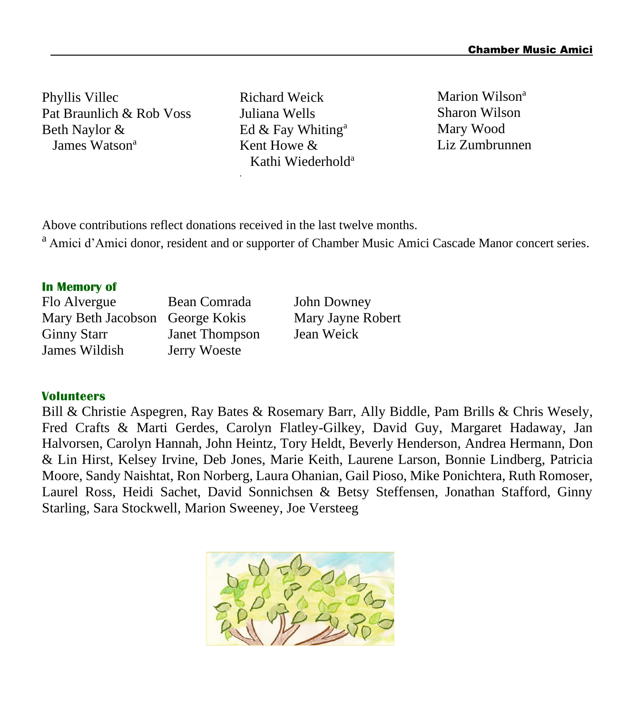Phyllis Villec Pat Braunlich & Rob Voss Beth Naylor & James Watson<sup>a</sup>

Richard Weick Juliana Wells Ed  $&$  Fay Whiting<sup>a</sup> Kent Howe & Kathi Wiederhold<sup>a</sup> Marion Wilson<sup>a</sup> Sharon Wilson Mary Wood Liz Zumbrunnen

Above contributions reflect donations received in the last twelve months.

.

<sup>a</sup> Amici d'Amici donor, resident and or supporter of Chamber Music Amici Cascade Manor concert series.

#### **In Memory of**

Flo Alvergue Bean Comrada John Downey<br>Mary Beth Jacobson George Kokis Mary Javne R Mary Beth Jacobson George Kokis Mary Jayne Robert Ginny Starr Janet Thompson Jean Weick James Wildish Jerry Woeste

#### **Volunteers**

Bill & Christie Aspegren, Ray Bates & Rosemary Barr, Ally Biddle, Pam Brills & Chris Wesely, Fred Crafts & Marti Gerdes, Carolyn Flatley-Gilkey, David Guy, Margaret Hadaway, Jan Halvorsen, Carolyn Hannah, John Heintz, Tory Heldt, Beverly Henderson, Andrea Hermann, Don & Lin Hirst, Kelsey Irvine, Deb Jones, Marie Keith, Laurene Larson, Bonnie Lindberg, Patricia Moore, Sandy Naishtat, Ron Norberg, Laura Ohanian, Gail Pioso, Mike Ponichtera, Ruth Romoser, Laurel Ross, Heidi Sachet, David Sonnichsen & Betsy Steffensen, Jonathan Stafford, Ginny Starling, Sara Stockwell, Marion Sweeney, Joe Versteeg

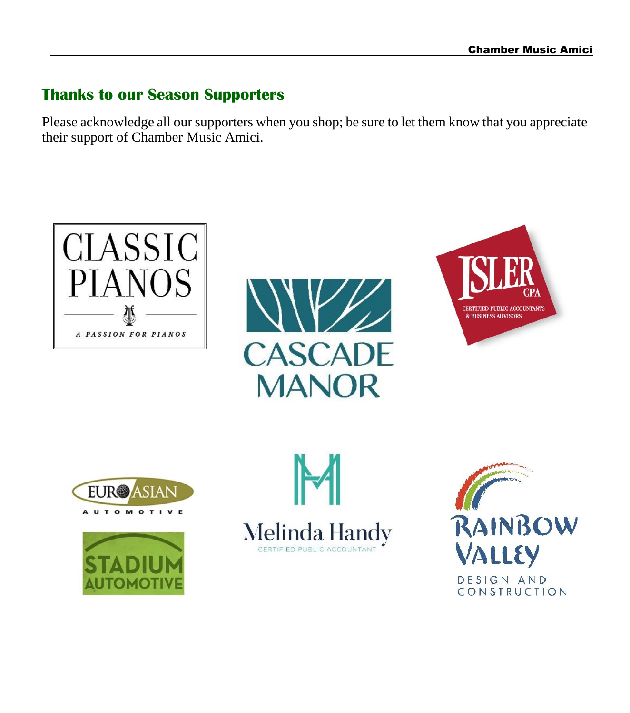### **Thanks to our Season Supporters**

Please acknowledge all our supporters when you shop; be sure to let them know that you appreciate their support of Chamber Music Amici.